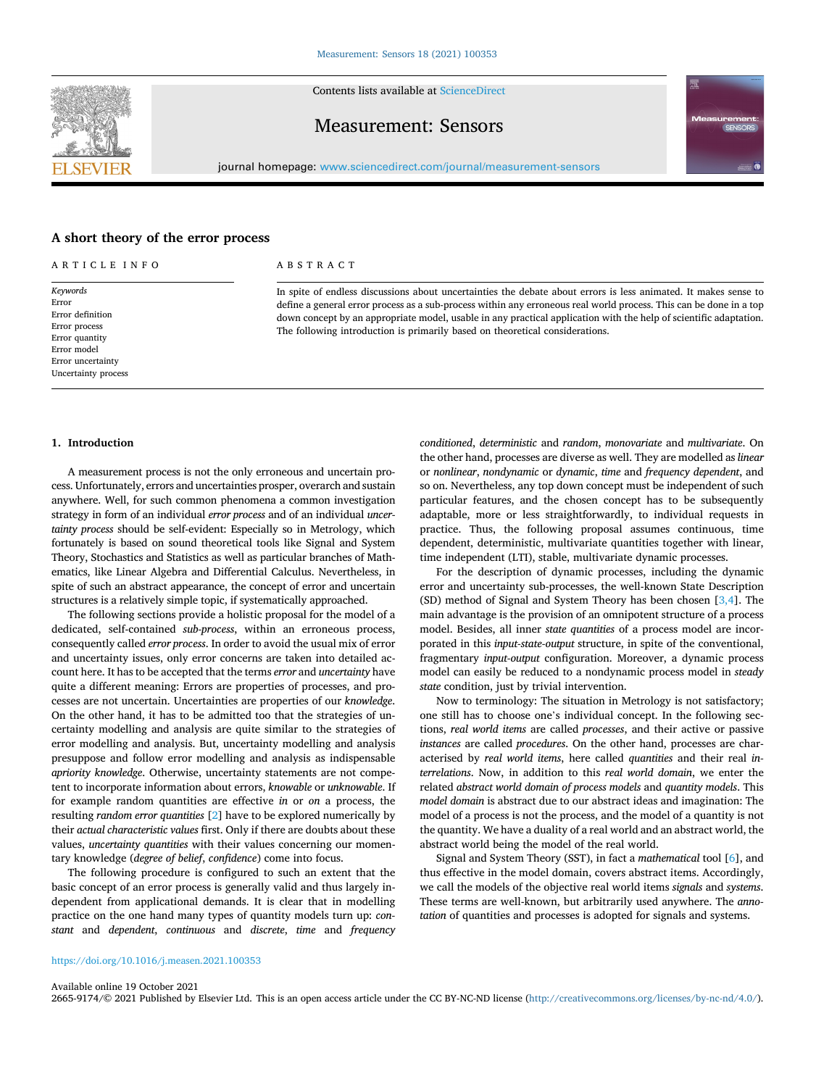Contents lists available at [ScienceDirect](www.sciencedirect.com/science/journal/26659174)

# Measurement: Sensors

journal homepage: [www.sciencedirect.com/journal/measurement-sensors](https://www.sciencedirect.com/journal/measurement-sensors)

# **A short theory of the error process**

| ARTICLE INFO                                                                                                                        | ABSTRACT                                                                                                                                                                                                                                                                                                                                                                                                                                   |  |  |
|-------------------------------------------------------------------------------------------------------------------------------------|--------------------------------------------------------------------------------------------------------------------------------------------------------------------------------------------------------------------------------------------------------------------------------------------------------------------------------------------------------------------------------------------------------------------------------------------|--|--|
| Keywords<br>Error<br>Error definition<br>Error process<br>Error quantity<br>Error model<br>Error uncertainty<br>Uncertainty process | In spite of endless discussions about uncertainties the debate about errors is less animated. It makes sense to<br>define a general error process as a sub-process within any erroneous real world process. This can be done in a top<br>down concept by an appropriate model, usable in any practical application with the help of scientific adaptation.<br>The following introduction is primarily based on theoretical considerations. |  |  |
|                                                                                                                                     |                                                                                                                                                                                                                                                                                                                                                                                                                                            |  |  |

# **1. Introduction**

A measurement process is not the only erroneous and uncertain process. Unfortunately, errors and uncertainties prosper, overarch and sustain anywhere. Well, for such common phenomena a common investigation strategy in form of an individual *error process* and of an individual *uncertainty process* should be self-evident: Especially so in Metrology, which fortunately is based on sound theoretical tools like Signal and System Theory, Stochastics and Statistics as well as particular branches of Mathematics, like Linear Algebra and Differential Calculus. Nevertheless, in spite of such an abstract appearance, the concept of error and uncertain structures is a relatively simple topic, if systematically approached.

The following sections provide a holistic proposal for the model of a dedicated, self-contained *sub-process*, within an erroneous process, consequently called *error process*. In order to avoid the usual mix of error and uncertainty issues, only error concerns are taken into detailed account here. It has to be accepted that the terms *error* and *uncertainty* have quite a different meaning: Errors are properties of processes, and processes are not uncertain. Uncertainties are properties of our *knowledge*. On the other hand, it has to be admitted too that the strategies of uncertainty modelling and analysis are quite similar to the strategies of error modelling and analysis. But, uncertainty modelling and analysis presuppose and follow error modelling and analysis as indispensable *apriority knowledge*. Otherwise, uncertainty statements are not competent to incorporate information about errors, *knowable* or *unknowable*. If for example random quantities are effective *in* or *on* a process, the resulting *random error quantities* [[2](#page-3-0)] have to be explored numerically by their *actual characteristic values* first. Only if there are doubts about these values, *uncertainty quantities* with their values concerning our momentary knowledge (*degree of belief*, *confidence*) come into focus.

The following procedure is configured to such an extent that the basic concept of an error process is generally valid and thus largely independent from applicational demands. It is clear that in modelling practice on the one hand many types of quantity models turn up: *constant* and *dependent*, *continuous* and *discrete*, *time* and *frequency*  *conditioned*, *deterministic* and *random*, *monovariate* and *multivariate*. On the other hand, processes are diverse as well. They are modelled as *linear*  or *nonlinear*, *nondynamic* or *dynamic*, *time* and *frequency dependent*, and so on. Nevertheless, any top down concept must be independent of such particular features, and the chosen concept has to be subsequently adaptable, more or less straightforwardly, to individual requests in practice. Thus, the following proposal assumes continuous, time dependent, deterministic, multivariate quantities together with linear, time independent (LTI), stable, multivariate dynamic processes.

For the description of dynamic processes, including the dynamic error and uncertainty sub-processes, the well-known State Description (SD) method of Signal and System Theory has been chosen [[3,4\]](#page-3-0). The main advantage is the provision of an omnipotent structure of a process model. Besides, all inner *state quantities* of a process model are incorporated in this *input-state-output* structure, in spite of the conventional, fragmentary *input-output* configuration. Moreover, a dynamic process model can easily be reduced to a nondynamic process model in *steady state* condition, just by trivial intervention.

Now to terminology: The situation in Metrology is not satisfactory; one still has to choose one's individual concept. In the following sections, *real world items* are called *processes*, and their active or passive *instances* are called *procedures*. On the other hand, processes are characterised by *real world items*, here called *quantities* and their real *interrelations*. Now, in addition to this *real world domain*, we enter the related *abstract world domain of process models* and *quantity models*. This *model domain* is abstract due to our abstract ideas and imagination: The model of a process is not the process, and the model of a quantity is not the quantity. We have a duality of a real world and an abstract world, the abstract world being the model of the real world.

Signal and System Theory (SST), in fact a *mathematical* tool [\[6\]](#page-3-0), and thus effective in the model domain, covers abstract items. Accordingly, we call the models of the objective real world items *signals* and *systems*. These terms are well-known, but arbitrarily used anywhere. The *annotation* of quantities and processes is adopted for signals and systems.

#### <https://doi.org/10.1016/j.measen.2021.100353>

Available online 19 October 2021

2665-9174/© 2021 Published by Elsevier Ltd. This is an open access article under the CC BY-NC-ND license [\(http://creativecommons.org/licenses/by-nc-nd/4.0/\)](http://creativecommons.org/licenses/by-nc-nd/4.0/).

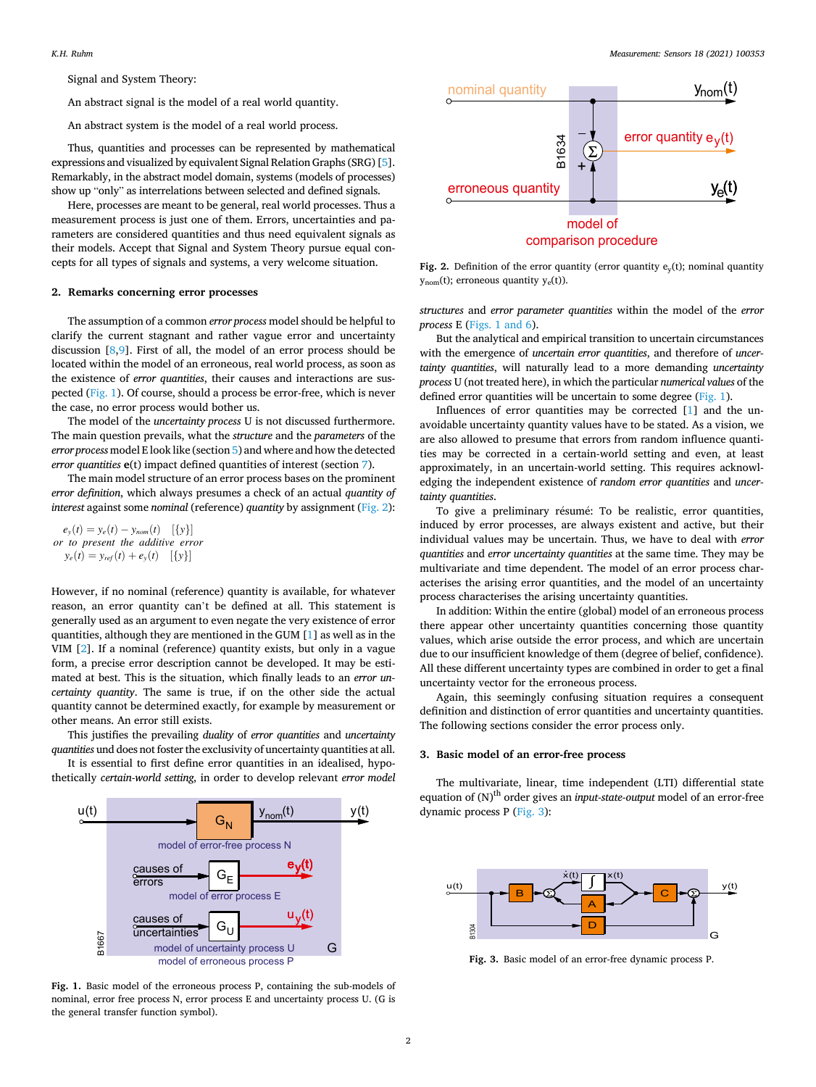Signal and System Theory:

An abstract signal is the model of a real world quantity.

An abstract system is the model of a real world process.

Thus, quantities and processes can be represented by mathematical expressions and visualized by equivalent Signal Relation Graphs (SRG) [[5](#page-3-0)]. Remarkably, in the abstract model domain, systems (models of processes) show up "only" as interrelations between selected and defined signals.

Here, processes are meant to be general, real world processes. Thus a measurement process is just one of them. Errors, uncertainties and parameters are considered quantities and thus need equivalent signals as their models. Accept that Signal and System Theory pursue equal concepts for all types of signals and systems, a very welcome situation.

#### **2. Remarks concerning error processes**

The assumption of a common *error process* model should be helpful to clarify the current stagnant and rather vague error and uncertainty discussion [\[8,9](#page-3-0)]. First of all, the model of an error process should be located within the model of an erroneous, real world process, as soon as the existence of *error quantities*, their causes and interactions are suspected (Fig. 1). Of course, should a process be error-free, which is never the case, no error process would bother us.

The model of the *uncertainty process* U is not discussed furthermore. The main question prevails, what the *structure* and the *parameters* of the *error process* model E look like (section [5\)](#page-2-0) and where and how the detected *error quantities* **e**(t) impact defined quantities of interest (section [7\)](#page-3-0).

The main model structure of an error process bases on the prominent *error definition*, which always presumes a check of an actual *quantity of interest against some nominal (reference) quantity by assignment (Fig. 2):* 

$$
e_{y}(t) = y_{e}(t) - y_{nom}(t) \quad [\{y\}]
$$
  
or to present the additive error  

$$
y_{e}(t) = y_{ref}(t) + e_{y}(t) \quad [\{y\}]
$$

However, if no nominal (reference) quantity is available, for whatever reason, an error quantity can't be defined at all. This statement is generally used as an argument to even negate the very existence of error quantities, although they are mentioned in the GUM [\[1\]](#page-3-0) as well as in the VIM [[2](#page-3-0)]. If a nominal (reference) quantity exists, but only in a vague form, a precise error description cannot be developed. It may be estimated at best. This is the situation, which finally leads to an *error uncertainty quantity*. The same is true, if on the other side the actual quantity cannot be determined exactly, for example by measurement or other means. An error still exists.

This justifies the prevailing *duality* of *error quantities* and *uncertainty quantities* und does not foster the exclusivity of uncertainty quantities at all.

It is essential to first define error quantities in an idealised, hypothetically *certain-world setting*, in order to develop relevant *error model* 



**Fig. 1.** Basic model of the erroneous process P, containing the sub-models of nominal, error free process N, error process E and uncertainty process U. (G is the general transfer function symbol).



**Fig. 2.** Definition of the error quantity (error quantity  $e_y(t)$ ; nominal quantity  $y_{\text{nom}}(t)$ ; erroneous quantity  $y_e(t)$ ).

*structures* and *error parameter quantities* within the model of the *error process* E (Figs. 1 and 6).

But the analytical and empirical transition to uncertain circumstances with the emergence of *uncertain error quantities*, and therefore of *uncertainty quantities*, will naturally lead to a more demanding *uncertainty process* U (not treated here), in which the particular *numerical values* of the defined error quantities will be uncertain to some degree (Fig. 1).

Influences of error quantities may be corrected [[1](#page-3-0)] and the unavoidable uncertainty quantity values have to be stated. As a vision, we are also allowed to presume that errors from random influence quantities may be corrected in a certain-world setting and even, at least approximately, in an uncertain-world setting. This requires acknowledging the independent existence of *random error quantities* and *uncertainty quantities*.

To give a preliminary résumé: To be realistic, error quantities, induced by error processes, are always existent and active, but their individual values may be uncertain. Thus, we have to deal with *error quantities* and *error uncertainty quantities* at the same time. They may be multivariate and time dependent. The model of an error process characterises the arising error quantities, and the model of an uncertainty process characterises the arising uncertainty quantities.

In addition: Within the entire (global) model of an erroneous process there appear other uncertainty quantities concerning those quantity values, which arise outside the error process, and which are uncertain due to our insufficient knowledge of them (degree of belief, confidence). All these different uncertainty types are combined in order to get a final uncertainty vector for the erroneous process.

Again, this seemingly confusing situation requires a consequent definition and distinction of error quantities and uncertainty quantities. The following sections consider the error process only.

## **3. Basic model of an error-free process**

The multivariate, linear, time independent (LTI) differential state equation of (N)<sup>th</sup> order gives an *input-state-output* model of an error-free dynamic process P (Fig. 3):



**Fig. 3.** Basic model of an error-free dynamic process P.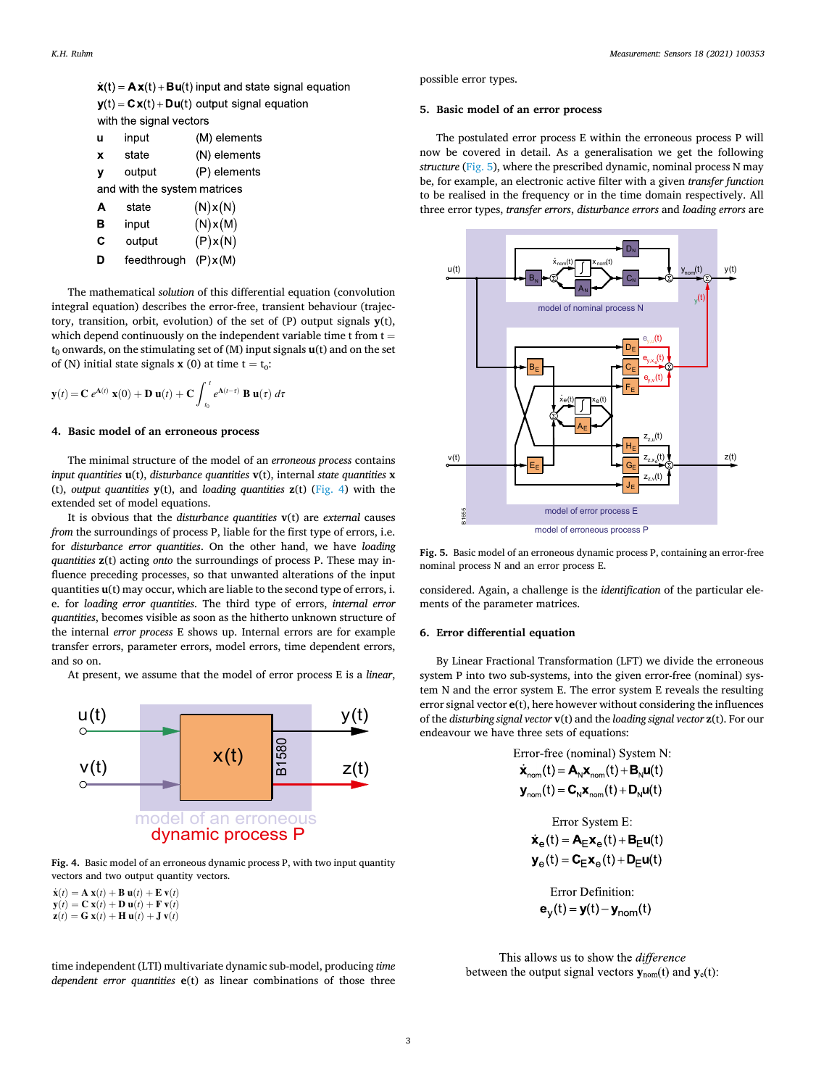<span id="page-2-0"></span> $\dot{\mathbf{x}}(t) = \mathbf{A}\mathbf{x}(t) + \mathbf{B}\mathbf{u}(t)$  input and state signal equation  $y(t) = C x(t) + D u(t)$  output signal equation with the signal vectors

| u                            | input  | (M) elements |  |  |
|------------------------------|--------|--------------|--|--|
| X                            | state  | (N) elements |  |  |
| v                            | output | (P) elements |  |  |
| and with the system matrices |        |              |  |  |
| A                            | state  | (N)x(N)      |  |  |
| в                            | input  | (N)x(M)      |  |  |
| c                            | output | (P)x(N)      |  |  |
|                              |        |              |  |  |

D feedthrough (P)x(M)

The mathematical *solution* of this differential equation (convolution integral equation) describes the error-free, transient behaviour (trajectory, transition, orbit, evolution) of the set of (P) output signals **y**(t), which depend continuously on the independent variable time  $t$  from  $t =$  $t_0$  onwards, on the stimulating set of  $(M)$  input signals  $\mathbf{u}(t)$  and on the set of (N) initial state signals **x** (0) at time  $t = t_0$ :

$$
\mathbf{y}(t) = \mathbf{C} e^{\mathbf{A}(t)} \mathbf{x}(0) + \mathbf{D} \mathbf{u}(t) + \mathbf{C} \int_{t_0}^t e^{\mathbf{A}(t-\tau)} \mathbf{B} \mathbf{u}(\tau) d\tau
$$

### **4. Basic model of an erroneous process**

The minimal structure of the model of an *erroneous process* contains *input quantities* **u**(t), *disturbance quantities* **v**(t), internal *state quantities* **x**  (t), *output quantities* **y**(t), and *loading quantities* **z**(t) (Fig. 4) with the extended set of model equations.

It is obvious that the *disturbance quantities* **v**(t) are *external* causes *from the surroundings of process P, liable for the first type of errors, i.e.* for *disturbance error quantities*. On the other hand, we have *loading quantities* **z**(t) acting *onto* the surroundings of process P. These may influence preceding processes, so that unwanted alterations of the input quantities **u**(t) may occur, which are liable to the second type of errors, i. e. for *loading error quantities*. The third type of errors, *internal error quantities*, becomes visible as soon as the hitherto unknown structure of the internal *error process* E shows up. Internal errors are for example transfer errors, parameter errors, model errors, time dependent errors, and so on.

At present, we assume that the model of error process E is a *linear*,



**Fig. 4.** Basic model of an erroneous dynamic process P, with two input quantity vectors and two output quantity vectors.

 $\dot{\mathbf{x}}(t) = \mathbf{A} \mathbf{x}(t) + \mathbf{B} \mathbf{u}(t) + \mathbf{E} \mathbf{v}(t)$  $\mathbf{y}(t) = \mathbf{C} \mathbf{x}(t) + \mathbf{D} \mathbf{u}(t) + \mathbf{F} \mathbf{v}(t)$  $\mathbf{z}(t) = \mathbf{G} \mathbf{x}(t) + \mathbf{H} \mathbf{u}(t) + \mathbf{J} \mathbf{v}(t)$ 

This allows us to show the difference

time independent (LTI) multivariate dynamic sub-model, producing *time dependent error quantities* **e**(t) as linear combinations of those three

possible error types.

#### **5. Basic model of an error process**

The postulated error process E within the erroneous process P will now be covered in detail. As a generalisation we get the following *structure* (Fig. 5), where the prescribed dynamic, nominal process N may be, for example, an electronic active filter with a given *transfer function*  to be realised in the frequency or in the time domain respectively. All three error types, *transfer errors*, *disturbance errors* and *loading errors* are



**Fig. 5.** Basic model of an erroneous dynamic process P, containing an error-free nominal process N and an error process E.

considered. Again, a challenge is the *identification* of the particular elements of the parameter matrices.

## **6. Error differential equation**

By Linear Fractional Transformation (LFT) we divide the erroneous system P into two sub-systems, into the given error-free (nominal) system N and the error system E. The error system E reveals the resulting error signal vector **e**(t), here however without considering the influences of the *disturbing signal vector* **v**(t) and the *loading signal vector* **z**(t). For our endeavour we have three sets of equations:

| Error-free (nominal) System N:                                                                          |
|---------------------------------------------------------------------------------------------------------|
| $\dot{\mathbf{x}}_{nom}(t) = \mathbf{A}_{N} \mathbf{x}_{nom}(t) + \mathbf{B}_{N} \mathbf{u}(t)$         |
| $\mathbf{y}_{nom}(t) = \mathbf{C}_{N} \mathbf{x}_{nom}(t) + \mathbf{D}_{N} \mathbf{u}(t)$               |
|                                                                                                         |
| Error System E:                                                                                         |
| $\dot{\mathbf{x}}_{\alpha}(t) = \mathbf{A}_{F} \mathbf{x}_{\alpha}(t) + \mathbf{B}_{F} \mathbf{u}(t)$   |
| $\mathbf{y}_{\alpha}(t) = \mathbf{C}_{\beta} \mathbf{x}_{\alpha}(t) + \mathbf{D}_{\beta} \mathbf{u}(t)$ |
|                                                                                                         |
| Error Definition:                                                                                       |
| ${\bf e}_{V}(t) = {\bf y}(t) - {\bf y}_{nom}(t)$                                                        |

between the output signal vectors  $y_{nom}(t)$  and  $y_e(t)$ :